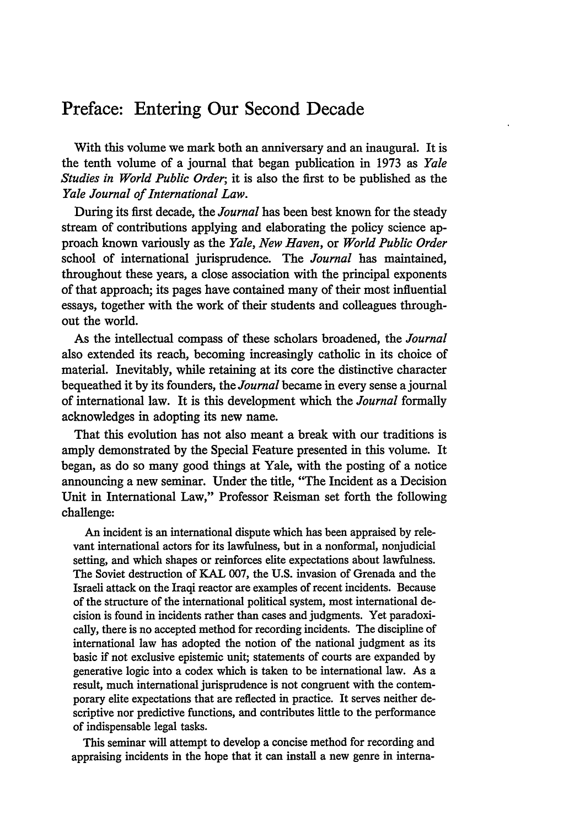## Preface: Entering Our Second Decade

With this volume we mark both an anniversary and an inaugural. It is the tenth volume of a journal that began publication in 1973 as *Yale Studies in World Public Order;* it is also the first to be published as the *Yale Journal of International Law.*

During its first decade, the *Journal* has been best known for the steady stream of contributions applying and elaborating the policy science approach known variously as the *Yale, New Haven,* or *World Public Order* school of international jurisprudence. The *Journal* has maintained, throughout these years, a close association with the principal exponents of that approach; its pages have contained many of their most influential essays, together with the work of their students and colleagues throughout the world.

As the intellectual compass of these scholars broadened, the *Journal* also extended its reach, becoming increasingly catholic in its choice of material. Inevitably, while retaining at its core the distinctive character bequeathed it by its founders, the *Journal* became in every sense a journal of international law. It is this development which the *Journal* formally acknowledges in adopting its new name.

That this evolution has not also meant a break with our traditions is amply demonstrated by the Special Feature presented in this volume. It began, as do so many good things at Yale, with the posting of a notice announcing a new seminar. Under the title, "The Incident as a Decision Unit in International Law," Professor Reisman set forth the following challenge:

An incident is an international dispute which has been appraised by relevant international actors for its lawfulness, but in a nonformal, nonjudicial setting, and which shapes or reinforces elite expectations about lawfulness. The Soviet destruction of KAL 007, the U.S. invasion of Grenada and the Israeli attack on the Iraqi reactor are examples of recent incidents. Because of the structure of the international political system, most international decision is found in incidents rather than cases and judgments. Yet paradoxically, there is no accepted method for recording incidents. The discipline of international law has adopted the notion of the national judgment as its basic if not exclusive epistemic unit; statements of courts are expanded by generative logic into a codex which is taken to be international law. As a result, much international jurisprudence is not congruent with the contemporary elite expectations that are reflected in practice. It serves neither descriptive nor predictive functions, and contributes little to the performance of indispensable legal tasks.

This seminar will attempt to develop a concise method for recording and appraising incidents in the hope that it can install a new genre in interna